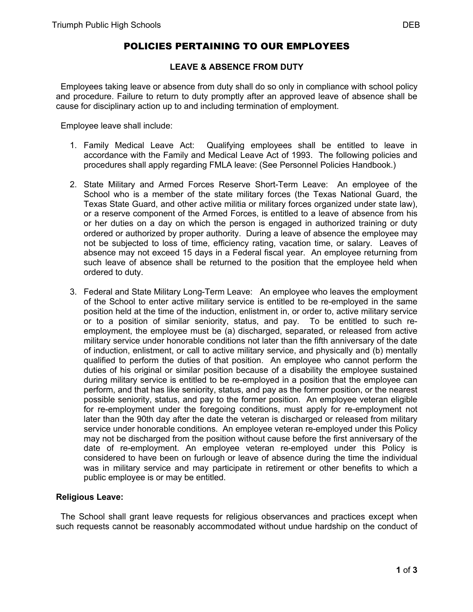# POLICIES PERTAINING TO OUR EMPLOYEES

## **LEAVE & ABSENCE FROM DUTY**

 Employees taking leave or absence from duty shall do so only in compliance with school policy and procedure. Failure to return to duty promptly after an approved leave of absence shall be cause for disciplinary action up to and including termination of employment.

Employee leave shall include:

- 1. Family Medical Leave Act: Qualifying employees shall be entitled to leave in accordance with the Family and Medical Leave Act of 1993. The following policies and procedures shall apply regarding FMLA leave: (See Personnel Policies Handbook.)
- 2. State Military and Armed Forces Reserve Short-Term Leave: An employee of the School who is a member of the state military forces (the Texas National Guard, the Texas State Guard, and other active militia or military forces organized under state law), or a reserve component of the Armed Forces, is entitled to a leave of absence from his or her duties on a day on which the person is engaged in authorized training or duty ordered or authorized by proper authority. During a leave of absence the employee may not be subjected to loss of time, efficiency rating, vacation time, or salary. Leaves of absence may not exceed 15 days in a Federal fiscal year. An employee returning from such leave of absence shall be returned to the position that the employee held when ordered to duty.
- 3. Federal and State Military Long-Term Leave: An employee who leaves the employment of the School to enter active military service is entitled to be re-employed in the same position held at the time of the induction, enlistment in, or order to, active military service or to a position of similar seniority, status, and pay. To be entitled to such reemployment, the employee must be (a) discharged, separated, or released from active military service under honorable conditions not later than the fifth anniversary of the date of induction, enlistment, or call to active military service, and physically and (b) mentally qualified to perform the duties of that position. An employee who cannot perform the duties of his original or similar position because of a disability the employee sustained during military service is entitled to be re-employed in a position that the employee can perform, and that has like seniority, status, and pay as the former position, or the nearest possible seniority, status, and pay to the former position. An employee veteran eligible for re-employment under the foregoing conditions, must apply for re-employment not later than the 90th day after the date the veteran is discharged or released from military service under honorable conditions. An employee veteran re-employed under this Policy may not be discharged from the position without cause before the first anniversary of the date of re-employment. An employee veteran re-employed under this Policy is considered to have been on furlough or leave of absence during the time the individual was in military service and may participate in retirement or other benefits to which a public employee is or may be entitled.

## **Religious Leave:**

 The School shall grant leave requests for religious observances and practices except when such requests cannot be reasonably accommodated without undue hardship on the conduct of